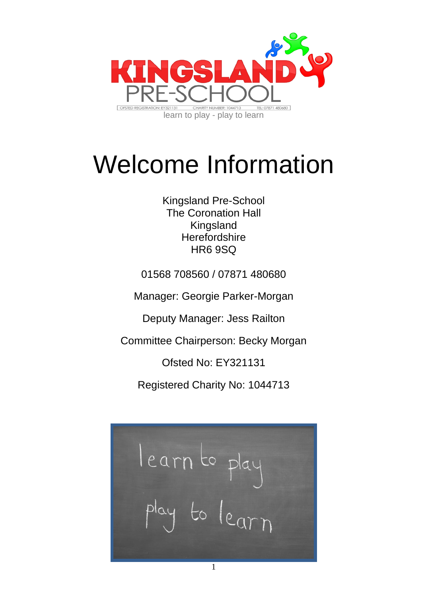

# Welcome Information

Kingsland Pre-School The Coronation Hall Kingsland **Herefordshire** HR6 9SQ

01568 708560 / 07871 480680

Manager: Georgie Parker-Morgan

Deputy Manager: Jess Railton

Committee Chairperson: Becky Morgan

Ofsted No: EY321131

Registered Charity No: 1044713

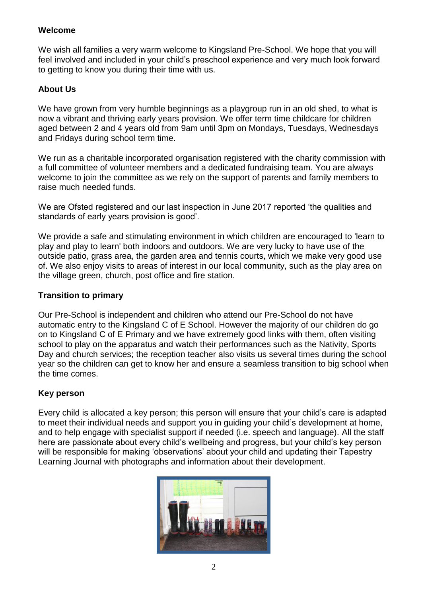## **Welcome**

We wish all families a very warm welcome to Kingsland Pre-School. We hope that you will feel involved and included in your child's preschool experience and very much look forward to getting to know you during their time with us.

## **About Us**

We have grown from very humble beginnings as a playgroup run in an old shed, to what is now a vibrant and thriving early years provision. We offer term time childcare for children aged between 2 and 4 years old from 9am until 3pm on Mondays, Tuesdays, Wednesdays and Fridays during school term time.

We run as a charitable incorporated organisation registered with the charity commission with a full committee of volunteer members and a dedicated fundraising team. You are always welcome to join the committee as we rely on the support of parents and family members to raise much needed funds.

We are Ofsted registered and our last inspection in June 2017 reported 'the qualities and standards of early years provision is good'.

We provide a safe and stimulating environment in which children are encouraged to 'learn to play and play to learn' both indoors and outdoors. We are very lucky to have use of the outside patio, grass area, the garden area and tennis courts, which we make very good use of. We also enjoy visits to areas of interest in our local community, such as the play area on the village green, church, post office and fire station.

### **Transition to primary**

Our Pre-School is independent and children who attend our Pre-School do not have automatic entry to the Kingsland C of E School. However the majority of our children do go on to Kingsland C of E Primary and we have extremely good links with them, often visiting school to play on the apparatus and watch their performances such as the Nativity, Sports Day and church services; the reception teacher also visits us several times during the school year so the children can get to know her and ensure a seamless transition to big school when the time comes.

## **Key person**

Every child is allocated a key person; this person will ensure that your child's care is adapted to meet their individual needs and support you in guiding your child's development at home, and to help engage with specialist support if needed (i.e. speech and language). All the staff here are passionate about every child's wellbeing and progress, but your child's key person will be responsible for making 'observations' about your child and updating their Tapestry Learning Journal with photographs and information about their development.

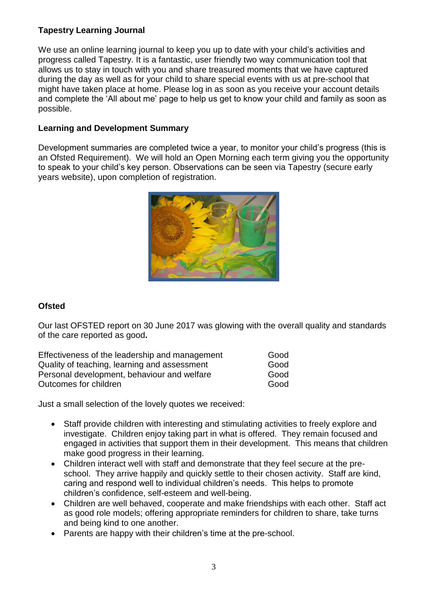## **Tapestry Learning Journal**

We use an online learning journal to keep you up to date with your child's activities and progress called Tapestry. It is a fantastic, user friendly two way communication tool that allows us to stay in touch with you and share treasured moments that we have captured during the day as well as for your child to share special events with us at pre-school that might have taken place at home. Please log in as soon as you receive your account details and complete the 'All about me' page to help us get to know your child and family as soon as possible.

## **Learning and Development Summary**

Development summaries are completed twice a year, to monitor your child's progress (this is an Ofsted Requirement). We will hold an Open Morning each term giving you the opportunity to speak to your child's key person. Observations can be seen via Tapestry (secure early years website), upon completion of registration.



## **Ofsted**

Our last OFSTED report on 30 June 2017 was glowing with the overall quality and standards of the care reported as good**.**

| Effectiveness of the leadership and management | Good |
|------------------------------------------------|------|
| Quality of teaching, learning and assessment   | Good |
| Personal development, behaviour and welfare    | Good |
| Outcomes for children                          | Good |

Just a small selection of the lovely quotes we received:

- Staff provide children with interesting and stimulating activities to freely explore and investigate. Children enjoy taking part in what is offered. They remain focused and engaged in activities that support them in their development. This means that children make good progress in their learning.
- Children interact well with staff and demonstrate that they feel secure at the preschool. They arrive happily and quickly settle to their chosen activity. Staff are kind, caring and respond well to individual children's needs. This helps to promote children's confidence, self-esteem and well-being.
- Children are well behaved, cooperate and make friendships with each other. Staff act as good role models; offering appropriate reminders for children to share, take turns and being kind to one another.
- Parents are happy with their children's time at the pre-school.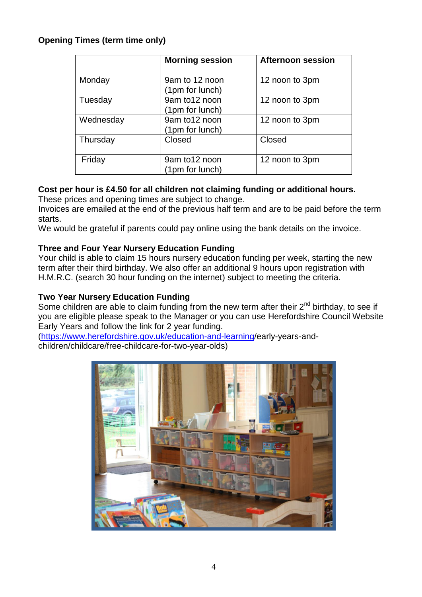# **Opening Times (term time only)**

|           | <b>Morning session</b>            | <b>Afternoon session</b> |
|-----------|-----------------------------------|--------------------------|
| Monday    | 9am to 12 noon<br>(1pm for lunch) | 12 noon to 3pm           |
| Tuesday   | 9am to 12 noon<br>(1pm for lunch) | 12 noon to 3pm           |
| Wednesday | 9am to12 noon<br>(1pm for lunch)  | 12 noon to 3pm           |
| Thursday  | Closed                            | Closed                   |
| Friday    | 9am to12 noon<br>(1pm for lunch)  | 12 noon to 3pm           |

## **Cost per hour is £4.50 for all children not claiming funding or additional hours.**

These prices and opening times are subject to change.

Invoices are emailed at the end of the previous half term and are to be paid before the term starts.

We would be grateful if parents could pay online using the bank details on the invoice.

## **Three and Four Year Nursery Education Funding**

Your child is able to claim 15 hours nursery education funding per week, starting the new term after their third birthday. We also offer an additional 9 hours upon registration with H.M.R.C. (search 30 hour funding on the internet) subject to meeting the criteria.

## **Two Year Nursery Education Funding**

Some children are able to claim funding from the new term after their  $2^{nd}$  birthday, to see if you are eligible please speak to the Manager or you can use Herefordshire Council Website Early Years and follow the link for 2 year funding.

[\(https://www.herefordshire.gov.uk/education-and-learning/](https://www.herefordshire.gov.uk/education-and-learning)early-years-andchildren/childcare/free-childcare-for-two-year-olds)

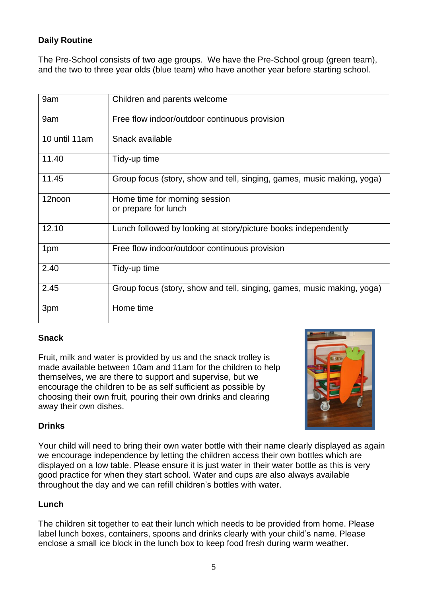# **Daily Routine**

The Pre-School consists of two age groups. We have the Pre-School group (green team), and the two to three year olds (blue team) who have another year before starting school.

| 9am            | Children and parents welcome                                           |
|----------------|------------------------------------------------------------------------|
| 9am            | Free flow indoor/outdoor continuous provision                          |
| 10 until 11 am | Snack available                                                        |
| 11.40          | Tidy-up time                                                           |
| 11.45          | Group focus (story, show and tell, singing, games, music making, yoga) |
| 12noon         | Home time for morning session<br>or prepare for lunch                  |
| 12.10          | Lunch followed by looking at story/picture books independently         |
| 1pm            | Free flow indoor/outdoor continuous provision                          |
| 2.40           | Tidy-up time                                                           |
| 2.45           | Group focus (story, show and tell, singing, games, music making, yoga) |
| 3pm            | Home time                                                              |

## **Snack**

Fruit, milk and water is provided by us and the snack trolley is made available between 10am and 11am for the children to help themselves, we are there to support and supervise, but we encourage the children to be as self sufficient as possible by choosing their own fruit, pouring their own drinks and clearing away their own dishes.



# **Drinks**

Your child will need to bring their own water bottle with their name clearly displayed as again we encourage independence by letting the children access their own bottles which are displayed on a low table. Please ensure it is just water in their water bottle as this is very good practice for when they start school. Water and cups are also always available throughout the day and we can refill children's bottles with water.

## **Lunch**

The children sit together to eat their lunch which needs to be provided from home. Please label lunch boxes, containers, spoons and drinks clearly with your child's name. Please enclose a small ice block in the lunch box to keep food fresh during warm weather.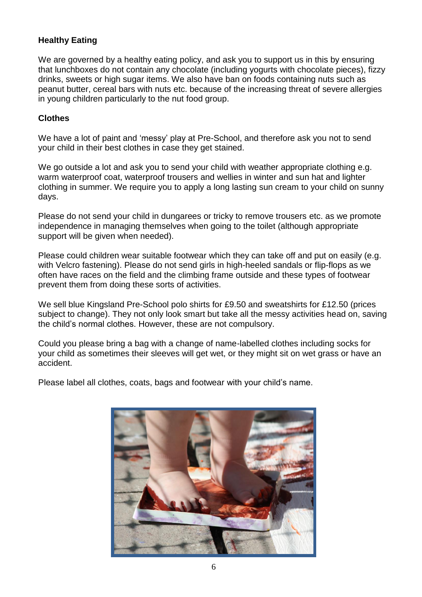## **Healthy Eating**

We are governed by a healthy eating policy, and ask you to support us in this by ensuring that lunchboxes do not contain any chocolate (including yogurts with chocolate pieces), fizzy drinks, sweets or high sugar items. We also have ban on foods containing nuts such as peanut butter, cereal bars with nuts etc. because of the increasing threat of severe allergies in young children particularly to the nut food group.

## **Clothes**

We have a lot of paint and 'messy' play at Pre-School, and therefore ask you not to send your child in their best clothes in case they get stained.

We go outside a lot and ask you to send your child with weather appropriate clothing e.g. warm waterproof coat, waterproof trousers and wellies in winter and sun hat and lighter clothing in summer. We require you to apply a long lasting sun cream to your child on sunny days.

Please do not send your child in dungarees or tricky to remove trousers etc. as we promote independence in managing themselves when going to the toilet (although appropriate support will be given when needed).

Please could children wear suitable footwear which they can take off and put on easily (e.g. with Velcro fastening). Please do not send girls in high-heeled sandals or flip-flops as we often have races on the field and the climbing frame outside and these types of footwear prevent them from doing these sorts of activities.

We sell blue Kingsland Pre-School polo shirts for £9.50 and sweatshirts for £12.50 (prices subject to change). They not only look smart but take all the messy activities head on, saving the child's normal clothes. However, these are not compulsory.

Could you please bring a bag with a change of name-labelled clothes including socks for your child as sometimes their sleeves will get wet, or they might sit on wet grass or have an accident.

Please label all clothes, coats, bags and footwear with your child's name.

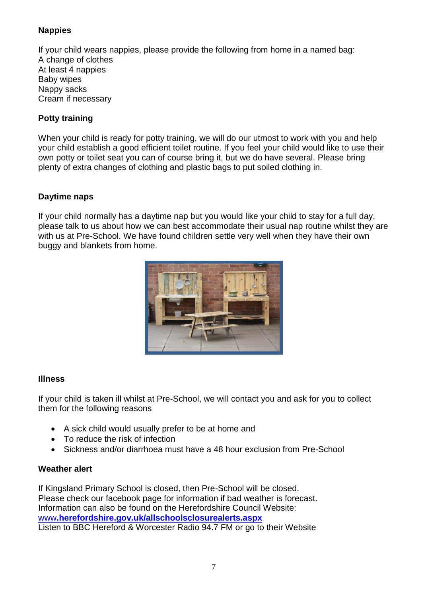# **Nappies**

If your child wears nappies, please provide the following from home in a named bag: A change of clothes At least 4 nappies Baby wipes Nappy sacks Cream if necessary

## **Potty training**

When your child is ready for potty training, we will do our utmost to work with you and help your child establish a good efficient toilet routine. If you feel your child would like to use their own potty or toilet seat you can of course bring it, but we do have several. Please bring plenty of extra changes of clothing and plastic bags to put soiled clothing in.

## **Daytime naps**

If your child normally has a daytime nap but you would like your child to stay for a full day, please talk to us about how we can best accommodate their usual nap routine whilst they are with us at Pre-School. We have found children settle very well when they have their own buggy and blankets from home.



## **Illness**

If your child is taken ill whilst at Pre-School, we will contact you and ask for you to collect them for the following reasons

- A sick child would usually prefer to be at home and
- To reduce the risk of infection
- Sickness and/or diarrhoea must have a 48 hour exclusion from Pre-School

## **Weather alert**

If Kingsland Primary School is closed, then Pre-School will be closed. Please check our facebook page for information if bad weather is forecast. Information can also be found on the Herefordshire Council Website: www**[.herefordshire.gov.uk/allschoolsclosurealerts.aspx](http://www.herefordshire.gov.uk/allschoolsclosurealerts.aspx)** Listen to BBC Hereford & Worcester Radio 94.7 FM or go to their Website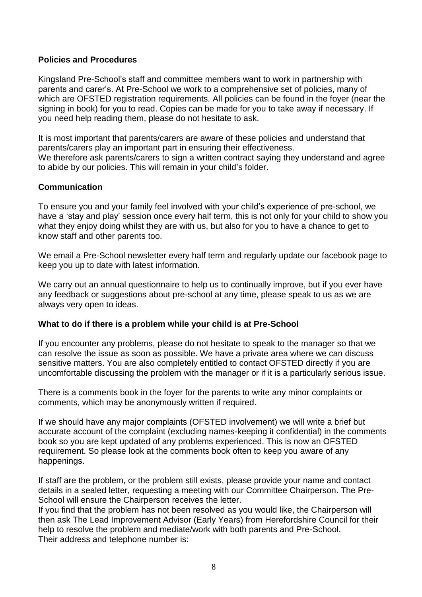## **Policies and Procedures**

Kingsland Pre-School's staff and committee members want to work in partnership with parents and carer's. At Pre-School we work to a comprehensive set of policies, many of which are OFSTED registration requirements. All policies can be found in the fover (near the signing in book) for you to read. Copies can be made for you to take away if necessary. If you need help reading them, please do not hesitate to ask.

It is most important that parents/carers are aware of these policies and understand that parents/carers play an important part in ensuring their effectiveness. We therefore ask parents/carers to sign a written contract saying they understand and agree to abide by our policies. This will remain in your child's folder.

#### **Communication**

To ensure you and your family feel involved with your child's experience of pre-school, we have a 'stay and play' session once every half term, this is not only for your child to show you what they enjoy doing whilst they are with us, but also for you to have a chance to get to know staff and other parents too.

We email a Pre-School newsletter every half term and regularly update our facebook page to keep you up to date with latest information.

We carry out an annual questionnaire to help us to continually improve, but if you ever have any feedback or suggestions about pre-school at any time, please speak to us as we are always very open to ideas.

#### **What to do if there is a problem while your child is at Pre-School**

If you encounter any problems, please do not hesitate to speak to the manager so that we can resolve the issue as soon as possible. We have a private area where we can discuss sensitive matters. You are also completely entitled to contact OFSTED directly if you are uncomfortable discussing the problem with the manager or if it is a particularly serious issue.

There is a comments book in the foyer for the parents to write any minor complaints or comments, which may be anonymously written if required.

If we should have any major complaints (OFSTED involvement) we will write a brief but accurate account of the complaint (excluding names-keeping it confidential) in the comments book so you are kept updated of any problems experienced. This is now an OFSTED requirement. So please look at the comments book often to keep you aware of any happenings.

If staff are the problem, or the problem still exists, please provide your name and contact details in a sealed letter, requesting a meeting with our Committee Chairperson. The Pre-School will ensure the Chairperson receives the letter.

If you find that the problem has not been resolved as you would like, the Chairperson will then ask The Lead Improvement Advisor (Early Years) from Herefordshire Council for their help to resolve the problem and mediate/work with both parents and Pre-School. Their address and telephone number is: